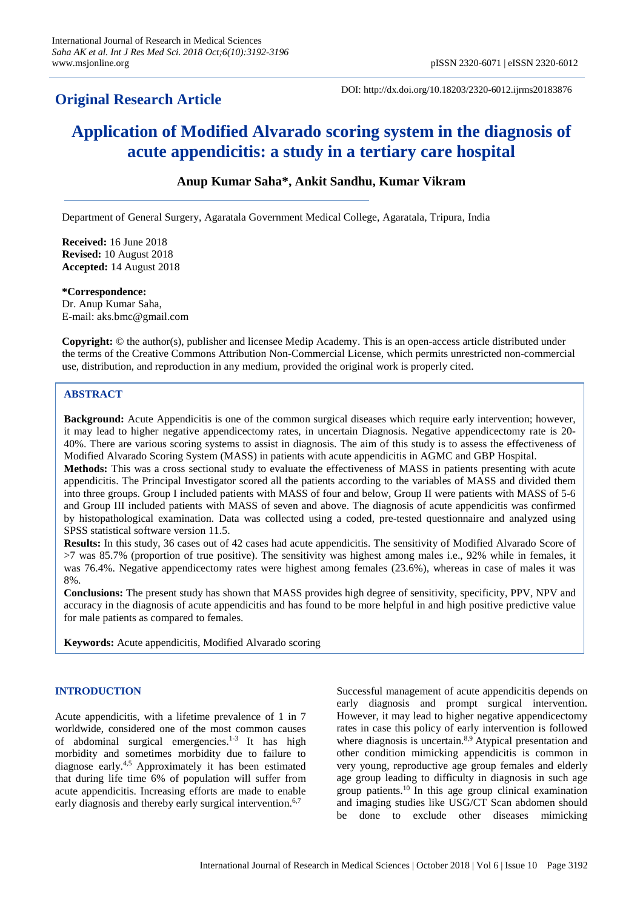## **Original Research Article**

DOI: http://dx.doi.org/10.18203/2320-6012.ijrms20183876

# **Application of Modified Alvarado scoring system in the diagnosis of acute appendicitis: a study in a tertiary care hospital**

## **Anup Kumar Saha\*, Ankit Sandhu, Kumar Vikram**

Department of General Surgery, Agaratala Government Medical College, Agaratala, Tripura, India

**Received:** 16 June 2018 **Revised:** 10 August 2018 **Accepted:** 14 August 2018

**\*Correspondence:** Dr. Anup Kumar Saha, E-mail: aks.bmc@gmail.com

**Copyright:** © the author(s), publisher and licensee Medip Academy. This is an open-access article distributed under the terms of the Creative Commons Attribution Non-Commercial License, which permits unrestricted non-commercial use, distribution, and reproduction in any medium, provided the original work is properly cited.

## **ABSTRACT**

**Background:** Acute Appendicitis is one of the common surgical diseases which require early intervention; however, it may lead to higher negative appendicectomy rates, in uncertain Diagnosis. Negative appendicectomy rate is 20- 40%. There are various scoring systems to assist in diagnosis. The aim of this study is to assess the effectiveness of Modified Alvarado Scoring System (MASS) in patients with acute appendicitis in AGMC and GBP Hospital. **Methods:** This was a cross sectional study to evaluate the effectiveness of MASS in patients presenting with acute appendicitis. The Principal Investigator scored all the patients according to the variables of MASS and divided them into three groups. Group I included patients with MASS of four and below, Group II were patients with MASS of 5-6 and Group III included patients with MASS of seven and above. The diagnosis of acute appendicitis was confirmed by histopathological examination. Data was collected using a coded, pre-tested questionnaire and analyzed using SPSS statistical software version 11.5.

**Results:** In this study, 36 cases out of 42 cases had acute appendicitis. The sensitivity of Modified Alvarado Score of >7 was 85.7% (proportion of true positive). The sensitivity was highest among males i.e., 92% while in females, it was 76.4%. Negative appendicectomy rates were highest among females (23.6%), whereas in case of males it was 8%.

**Conclusions:** The present study has shown that MASS provides high degree of sensitivity, specificity, PPV, NPV and accuracy in the diagnosis of acute appendicitis and has found to be more helpful in and high positive predictive value for male patients as compared to females.

**Keywords:** Acute appendicitis, Modified Alvarado scoring

## **INTRODUCTION**

Acute appendicitis, with a lifetime prevalence of 1 in 7 worldwide, considered one of the most common causes of abdominal surgical emergencies.<sup>1-3</sup> It has high morbidity and sometimes morbidity due to failure to diagnose early.4,5 Approximately it has been estimated that during life time 6% of population will suffer from acute appendicitis. Increasing efforts are made to enable early diagnosis and thereby early surgical intervention.<sup>6,7</sup>

Successful management of acute appendicitis depends on early diagnosis and prompt surgical intervention. However, it may lead to higher negative appendicectomy rates in case this policy of early intervention is followed where diagnosis is uncertain.<sup>8,9</sup> Atypical presentation and other condition mimicking appendicitis is common in very young, reproductive age group females and elderly age group leading to difficulty in diagnosis in such age group patients.<sup>10</sup> In this age group clinical examination and imaging studies like USG/CT Scan abdomen should be done to exclude other diseases mimicking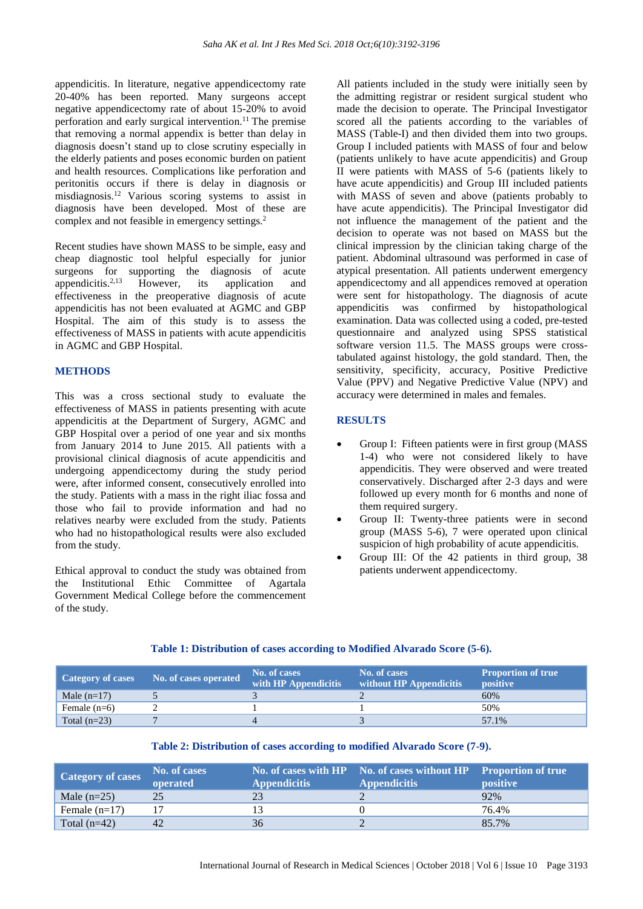appendicitis. In literature, negative appendicectomy rate 20-40% has been reported. Many surgeons accept negative appendicectomy rate of about 15-20% to avoid perforation and early surgical intervention.<sup>11</sup> The premise that removing a normal appendix is better than delay in diagnosis doesn't stand up to close scrutiny especially in the elderly patients and poses economic burden on patient and health resources. Complications like perforation and peritonitis occurs if there is delay in diagnosis or misdiagnosis.<sup>12</sup> Various scoring systems to assist in diagnosis have been developed. Most of these are complex and not feasible in emergency settings.<sup>2</sup>

Recent studies have shown MASS to be simple, easy and cheap diagnostic tool helpful especially for junior surgeons for supporting the diagnosis of acute appendicitis.<sup>2,13</sup> However, its application and effectiveness in the preoperative diagnosis of acute appendicitis has not been evaluated at AGMC and GBP Hospital. The aim of this study is to assess the effectiveness of MASS in patients with acute appendicitis in AGMC and GBP Hospital.

### **METHODS**

This was a cross sectional study to evaluate the effectiveness of MASS in patients presenting with acute appendicitis at the Department of Surgery, AGMC and GBP Hospital over a period of one year and six months from January 2014 to June 2015. All patients with a provisional clinical diagnosis of acute appendicitis and undergoing appendicectomy during the study period were, after informed consent, consecutively enrolled into the study. Patients with a mass in the right iliac fossa and those who fail to provide information and had no relatives nearby were excluded from the study. Patients who had no histopathological results were also excluded from the study.

Ethical approval to conduct the study was obtained from the Institutional Ethic Committee of Agartala Government Medical College before the commencement of the study.

All patients included in the study were initially seen by the admitting registrar or resident surgical student who made the decision to operate. The Principal Investigator scored all the patients according to the variables of MASS (Table-I) and then divided them into two groups. Group I included patients with MASS of four and below (patients unlikely to have acute appendicitis) and Group II were patients with MASS of 5-6 (patients likely to have acute appendicitis) and Group III included patients with MASS of seven and above (patients probably to have acute appendicitis). The Principal Investigator did not influence the management of the patient and the decision to operate was not based on MASS but the clinical impression by the clinician taking charge of the patient. Abdominal ultrasound was performed in case of atypical presentation. All patients underwent emergency appendicectomy and all appendices removed at operation were sent for histopathology. The diagnosis of acute appendicitis was confirmed by histopathological examination. Data was collected using a coded, pre-tested questionnaire and analyzed using SPSS statistical software version 11.5. The MASS groups were crosstabulated against histology, the gold standard. Then, the sensitivity, specificity, accuracy, Positive Predictive Value (PPV) and Negative Predictive Value (NPV) and accuracy were determined in males and females.

## **RESULTS**

- Group I: Fifteen patients were in first group (MASS 1-4) who were not considered likely to have appendicitis. They were observed and were treated conservatively. Discharged after 2-3 days and were followed up every month for 6 months and none of them required surgery.
- Group II: Twenty-three patients were in second group (MASS 5-6), 7 were operated upon clinical suspicion of high probability of acute appendicitis.
- Group III: Of the 42 patients in third group, 38 patients underwent appendicectomy.

#### **Table 1: Distribution of cases according to Modified Alvarado Score (5-6).**

| <b>Category of cases</b> | No. of cases operated | No. of cases<br>with HP Appendicitis | No. of cases<br>without HP Appendicitis | <b>Proportion of true</b><br>positive |
|--------------------------|-----------------------|--------------------------------------|-----------------------------------------|---------------------------------------|
| Male $(n=17)$            |                       |                                      |                                         | 60%                                   |
| Female $(n=6)$           |                       |                                      |                                         | 50%                                   |
| Total $(n=23)$           |                       |                                      |                                         | 57.1%                                 |

#### **Table 2: Distribution of cases according to modified Alvarado Score (7-9).**

| <b>Category of cases</b> | No. of cases<br>operated | <b>Appendicitis</b> | No. of cases with HP No. of cases without HP Proportion of true<br><b>Appendicitis</b> | <b>positive</b> |
|--------------------------|--------------------------|---------------------|----------------------------------------------------------------------------------------|-----------------|
| Male $(n=25)$            | 25                       | 23                  |                                                                                        | 92%             |
| Female $(n=17)$          |                          |                     |                                                                                        | 76.4%           |
| Total $(n=42)$           | 42                       | 36                  |                                                                                        | 85.7%           |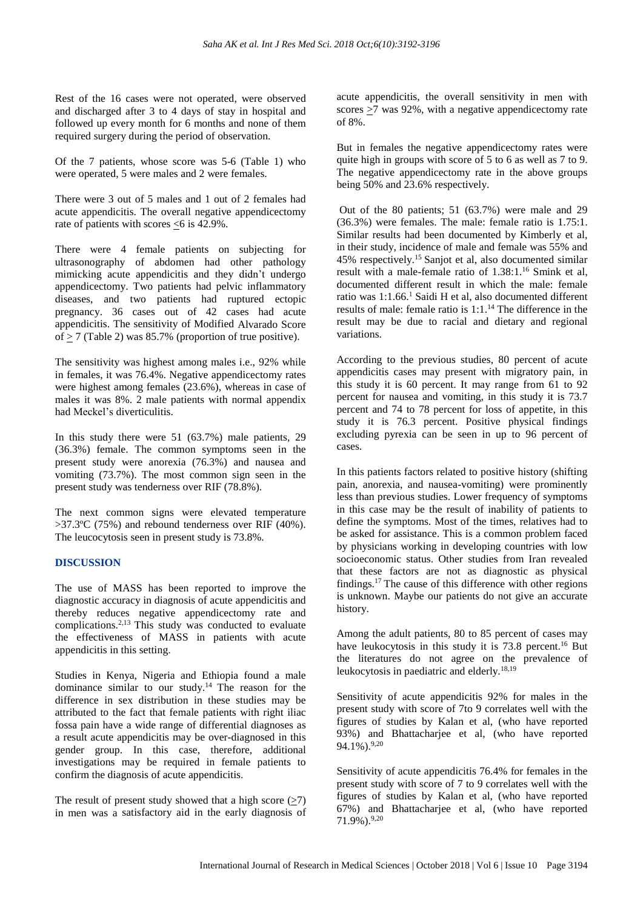Rest of the 16 cases were not operated, were observed and discharged after 3 to 4 days of stay in hospital and followed up every month for 6 months and none of them required surgery during the period of observation.

Of the 7 patients, whose score was 5-6 (Table 1) who were operated, 5 were males and 2 were females.

There were 3 out of 5 males and 1 out of 2 females had acute appendicitis. The overall negative appendicectomy rate of patients with scores  $< 6$  is 42.9%.

There were 4 female patients on subjecting for ultrasonography of abdomen had other pathology mimicking acute appendicitis and they didn't undergo appendicectomy. Two patients had pelvic inflammatory diseases, and two patients had ruptured ectopic pregnancy. 36 cases out of 42 cases had acute appendicitis. The sensitivity of Modified Alvarado Score of > 7 (Table 2) was 85.7% (proportion of true positive).

The sensitivity was highest among males i.e., 92% while in females, it was 76.4%. Negative appendicectomy rates were highest among females (23.6%), whereas in case of males it was 8%. 2 male patients with normal appendix had Meckel's diverticulitis.

In this study there were 51 (63.7%) male patients, 29 (36.3%) female. The common symptoms seen in the present study were anorexia (76.3%) and nausea and vomiting (73.7%). The most common sign seen in the present study was tenderness over RIF (78.8%).

The next common signs were elevated temperature >37.3ºC (75%) and rebound tenderness over RIF (40%). The leucocytosis seen in present study is 73.8%.

#### **DISCUSSION**

The use of MASS has been reported to improve the diagnostic accuracy in diagnosis of acute appendicitis and thereby reduces negative appendicectomy rate and complications. $2,13$  This study was conducted to evaluate the effectiveness of MASS in patients with acute appendicitis in this setting.

Studies in Kenya, Nigeria and Ethiopia found a male dominance similar to our study.<sup>14</sup> The reason for the difference in sex distribution in these studies may be attributed to the fact that female patients with right iliac fossa pain have a wide range of differential diagnoses as a result acute appendicitis may be over-diagnosed in this gender group. In this case, therefore, additional investigations may be required in female patients to confirm the diagnosis of acute appendicitis.

The result of present study showed that a high score  $($ >7) in men was a satisfactory aid in the early diagnosis of acute appendicitis, the overall sensitivity in men with scores  $\geq$ 7 was 92%, with a negative appendicectomy rate of 8%.

But in females the negative appendicectomy rates were quite high in groups with score of 5 to 6 as well as 7 to 9. The negative appendicectomy rate in the above groups being 50% and 23.6% respectively.

Out of the 80 patients; 51 (63.7%) were male and 29 (36.3%) were females. The male: female ratio is 1.75:1. Similar results had been documented by Kimberly et al, in their study, incidence of male and female was 55% and 45% respectively.<sup>15</sup> Sanjot et al, also documented similar result with a male-female ratio of 1.38:1.<sup>16</sup> Smink et al, documented different result in which the male: female ratio was 1:1.66.<sup>1</sup> Saidi H et al, also documented different results of male: female ratio is 1:1.<sup>14</sup> The difference in the result may be due to racial and dietary and regional variations.

According to the previous studies, 80 percent of acute appendicitis cases may present with migratory pain, in this study it is 60 percent. It may range from 61 to 92 percent for nausea and vomiting, in this study it is 73.7 percent and 74 to 78 percent for loss of appetite, in this study it is 76.3 percent. Positive physical findings excluding pyrexia can be seen in up to 96 percent of cases.

In this patients factors related to positive history (shifting pain, anorexia, and nausea-vomiting) were prominently less than previous studies. Lower frequency of symptoms in this case may be the result of inability of patients to define the symptoms. Most of the times, relatives had to be asked for assistance. This is a common problem faced by physicians working in developing countries with low socioeconomic status. Other studies from Iran revealed that these factors are not as diagnostic as physical findings.<sup>17</sup> The cause of this difference with other regions is unknown. Maybe our patients do not give an accurate history.

Among the adult patients, 80 to 85 percent of cases may have leukocytosis in this study it is  $73.8$  percent.<sup>16</sup> But the literatures do not agree on the prevalence of leukocytosis in paediatric and elderly.18,19

Sensitivity of acute appendicitis 92% for males in the present study with score of 7to 9 correlates well with the figures of studies by Kalan et al, (who have reported 93%) and Bhattacharjee et al, (who have reported  $94.1\%$ ).  $9,20$ 

Sensitivity of acute appendicitis 76.4% for females in the present study with score of 7 to 9 correlates well with the figures of studies by Kalan et al, (who have reported 67%) and Bhattacharjee et al, (who have reported 71.9%).9,20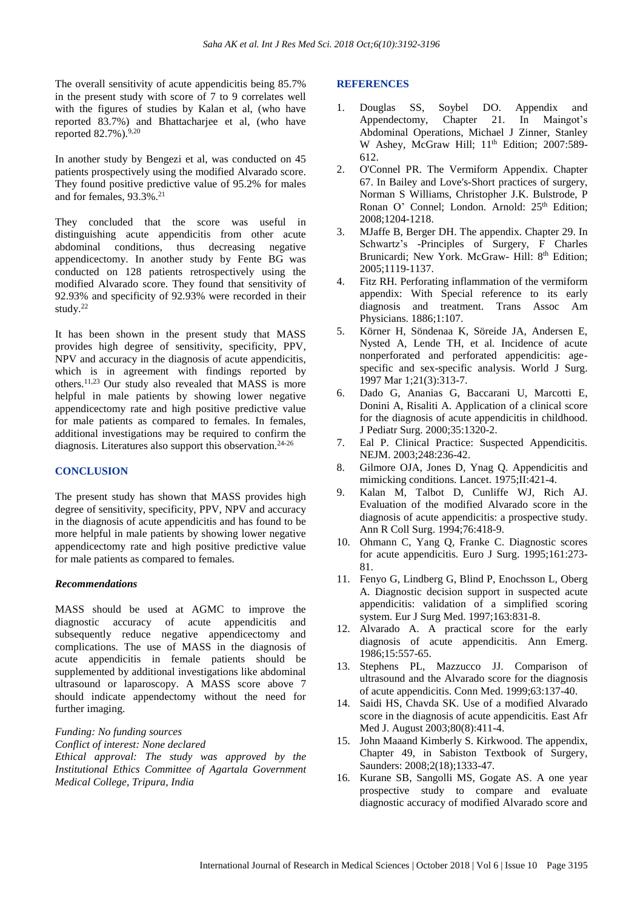The overall sensitivity of acute appendicitis being 85.7% in the present study with score of 7 to 9 correlates well with the figures of studies by Kalan et al, (who have reported 83.7%) and Bhattacharjee et al, (who have reported  $82.7\%$ ).  $9,20$ 

In another study by Bengezi et al, was conducted on 45 patients prospectively using the modified Alvarado score. They found positive predictive value of 95.2% for males and for females,  $93.3\%$ <sup>21</sup>

They concluded that the score was useful in distinguishing acute appendicitis from other acute abdominal conditions, thus decreasing negative appendicectomy. In another study by Fente BG was conducted on 128 patients retrospectively using the modified Alvarado score. They found that sensitivity of 92.93% and specificity of 92.93% were recorded in their study.<sup>22</sup>

It has been shown in the present study that MASS provides high degree of sensitivity, specificity, PPV, NPV and accuracy in the diagnosis of acute appendicitis, which is in agreement with findings reported by others.11,23 Our study also revealed that MASS is more helpful in male patients by showing lower negative appendicectomy rate and high positive predictive value for male patients as compared to females. In females, additional investigations may be required to confirm the diagnosis. Literatures also support this observation.<sup>24-26</sup>

#### **CONCLUSION**

The present study has shown that MASS provides high degree of sensitivity, specificity, PPV, NPV and accuracy in the diagnosis of acute appendicitis and has found to be more helpful in male patients by showing lower negative appendicectomy rate and high positive predictive value for male patients as compared to females.

#### *Recommendations*

MASS should be used at AGMC to improve the diagnostic accuracy of acute appendicitis and subsequently reduce negative appendicectomy and complications. The use of MASS in the diagnosis of acute appendicitis in female patients should be supplemented by additional investigations like abdominal ultrasound or laparoscopy. A MASS score above 7 should indicate appendectomy without the need for further imaging.

#### *Funding: No funding sources*

*Conflict of interest: None declared*

*Ethical approval: The study was approved by the Institutional Ethics Committee of Agartala Government Medical College, Tripura, India*

#### **REFERENCES**

- 1. Douglas SS, Soybel DO. Appendix and Appendectomy, Chapter 21. In Maingot's Abdominal Operations, Michael J Zinner, Stanley W Ashey, McGraw Hill; 11<sup>th</sup> Edition; 2007:589-612.
- 2. O'Connel PR. The Vermiform Appendix. Chapter 67. In Bailey and Love's-Short practices of surgery, Norman S Williams, Christopher J.K. Bulstrode, P Ronan O' Connel; London. Arnold: 25<sup>th</sup> Edition; 2008;1204-1218.
- 3. MJaffe B, Berger DH. The appendix. Chapter 29. In Schwartz's -Principles of Surgery, F Charles Brunicardi; New York. McGraw- Hill: 8<sup>th</sup> Edition; 2005;1119-1137.
- 4. Fitz RH. Perforating inflammation of the vermiform appendix: With Special reference to its early diagnosis and treatment. Trans Assoc Am Physicians. 1886;1:107.
- 5. Körner H, Söndenaa K, Söreide JA, Andersen E, Nysted A, Lende TH, et al. Incidence of acute nonperforated and perforated appendicitis: agespecific and sex-specific analysis. World J Surg. 1997 Mar 1;21(3):313-7.
- 6. Dado G, Ananias G, Baccarani U, Marcotti E, Donini A, Risaliti A. Application of a clinical score for the diagnosis of acute appendicitis in childhood. J Pediatr Surg. 2000;35:1320-2.
- 7. Eal P. Clinical Practice: Suspected Appendicitis. NEJM. 2003;248:236-42.
- 8. Gilmore OJA, Jones D, Ynag Q. Appendicitis and mimicking conditions. Lancet. 1975;II:421-4.
- 9. Kalan M, Talbot D, Cunliffe WJ, Rich AJ. Evaluation of the modified Alvarado score in the diagnosis of acute appendicitis: a prospective study. Ann R Coll Surg. 1994;76:418-9.
- 10. Ohmann C, Yang Q, Franke C. Diagnostic scores for acute appendicitis. Euro J Surg. 1995;161:273- 81.
- 11. Fenyo G, Lindberg G, Blind P, Enochsson L, Oberg A. Diagnostic decision support in suspected acute appendicitis: validation of a simplified scoring system. Eur J Surg Med. 1997;163:831-8.
- 12. Alvarado A. A practical score for the early diagnosis of acute appendicitis. Ann Emerg. 1986;15:557-65.
- 13. Stephens PL, Mazzucco JJ. Comparison of ultrasound and the Alvarado score for the diagnosis of acute appendicitis. Conn Med. 1999;63:137-40.
- 14. Saidi HS, Chavda SK. Use of a modified Alvarado score in the diagnosis of acute appendicitis. East Afr Med J. August 2003;80(8):411-4.
- 15. John Maaand Kimberly S. Kirkwood. The appendix, Chapter 49, in Sabiston Textbook of Surgery, Saunders: 2008;2(18);1333-47.
- 16. Kurane SB, Sangolli MS, Gogate AS. A one year prospective study to compare and evaluate diagnostic accuracy of modified Alvarado score and